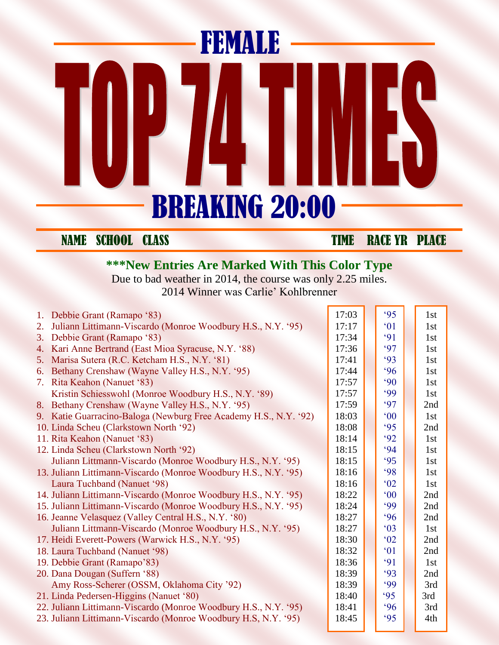## FEMALE ES<br>5  $\mathbf{I}_{\mathbb{R}}$ BREAKING 20:00

NAME SCHOOL CLASS TIME RACE YR PLACE

## **\*\*\*New Entries Are Marked With This Color Type**

Due to bad weather in 2014, the course was only 2.25 miles. 2014 Winner was Carlie' Kohlbrenner

|    | 1. Debbie Grant (Ramapo '83)                                     | 17:03 | 95            | 1st |
|----|------------------------------------------------------------------|-------|---------------|-----|
| 2. | Juliann Littimann-Viscardo (Monroe Woodbury H.S., N.Y. '95)      | 17:17 | $^{\circ}01$  | 1st |
| 3. | Debbie Grant (Ramapo '83)                                        | 17:34 | 91            | 1st |
| 4. | Kari Anne Bertrand (East Mioa Syracuse, N.Y. '88)                | 17:36 | 97            | 1st |
| 5. | Marisa Sutera (R.C. Ketcham H.S., N.Y. '81)                      | 17:41 | 93            | 1st |
| 6. | Bethany Crenshaw (Wayne Valley H.S., N.Y. '95)                   | 17:44 | 96            | 1st |
| 7. | Rita Keahon (Nanuet '83)                                         | 17:57 | $90^\circ$    | 1st |
|    | Kristin Schiesswohl (Monroe Woodbury H.S., N.Y. '89)             | 17:57 | 99            | 1st |
| 8. | Bethany Crenshaw (Wayne Valley H.S., N.Y. '95)                   | 17:59 | 97            | 2nd |
|    | 9. Katie Guarracino-Baloga (Newburg Free Academy H.S., N.Y. '92) | 18:03 | $00^{\circ}$  | 1st |
|    | 10. Linda Scheu (Clarkstown North '92)                           | 18:08 | 95            | 2nd |
|    | 11. Rita Keahon (Nanuet '83)                                     | 18:14 | 92            | 1st |
|    | 12. Linda Scheu (Clarkstown North '92)                           | 18:15 | 94            | 1st |
|    | Juliann Littmann-Viscardo (Monroe Woodbury H.S., N.Y. '95)       | 18:15 | 95            | 1st |
|    | 13. Juliann Littimann-Viscardo (Monroe Woodbury H.S., N.Y. '95)  | 18:16 | 98            | 1st |
|    | Laura Tuchband (Nanuet '98)                                      | 18:16 | $^{\circ}02$  | 1st |
|    | 14. Juliann Littimann-Viscardo (Monroe Woodbury H.S., N.Y. '95)  | 18:22 | $00^{\circ}$  | 2nd |
|    | 15. Juliann Littimann-Viscardo (Monroe Woodbury H.S., N.Y. '95)  | 18:24 | .99           | 2nd |
|    | 16. Jeanne Velasquez (Valley Central H.S., N.Y. '80)             | 18:27 | 96            | 2nd |
|    | Juliann Littmann-Viscardo (Monroe Woodbury H.S., N.Y. '95)       | 18:27 | $^{\circ}$ 03 | 1st |
|    | 17. Heidi Everett-Powers (Warwick H.S., N.Y. '95)                | 18:30 | $^{\circ}02$  | 2nd |
|    | 18. Laura Tuchband (Nanuet '98)                                  | 18:32 | $^{\circ}$ 01 | 2nd |
|    | 19. Debbie Grant (Ramapo'83)                                     | 18:36 | 91            | 1st |
|    | 20. Dana Dougan (Suffern '88)                                    | 18:39 | 93            | 2nd |
|    | Amy Ross-Scherer (OSSM, Oklahoma City '92)                       | 18:39 | 99            | 3rd |
|    | 21. Linda Pedersen-Higgins (Nanuet '80)                          | 18:40 | 95            | 3rd |
|    | 22. Juliann Littimann-Viscardo (Monroe Woodbury H.S., N.Y. '95)  | 18:41 | 96            | 3rd |
|    | 23. Juliann Littimann-Viscardo (Monroe Woodbury H.S, N.Y. '95)   | 18:45 | 95            | 4th |
|    |                                                                  |       |               |     |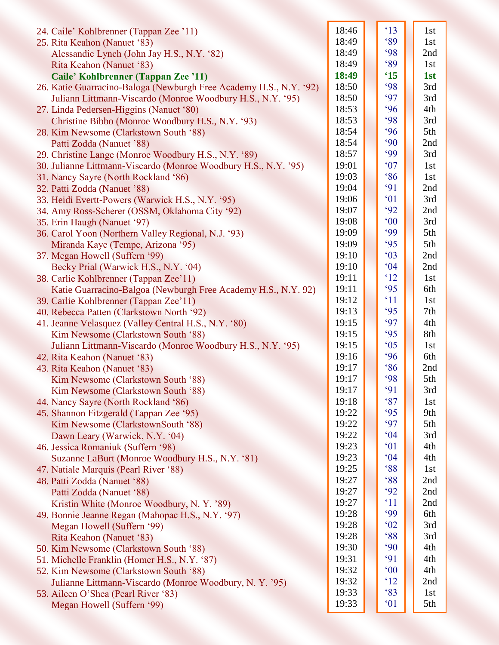| 24. Caile' Kohlbrenner (Tappan Zee '11)                            | 18:46 | $^{\circ}13$ | 1st |
|--------------------------------------------------------------------|-------|--------------|-----|
| 25. Rita Keahon (Nanuet '83)                                       | 18:49 | 89           | 1st |
| Alessandic Lynch (John Jay H.S., N.Y. '82)                         | 18:49 | 98           | 2nd |
| Rita Keahon (Nanuet '83)                                           | 18:49 | 89           | 1st |
| Caile' Kohlbrenner (Tappan Zee '11)                                | 18:49 | $^{\circ}15$ | 1st |
| 26. Katie Guarracino-Baloga (Newburgh Free Academy H.S., N.Y. '92) | 18:50 | <b>'98</b>   | 3rd |
| Juliann Littmann-Viscardo (Monroe Woodbury H.S., N.Y. '95)         | 18:50 | 97           | 3rd |
| 27. Linda Pedersen-Higgins (Nanuet '80)                            | 18:53 | 96           | 4th |
| Christine Bibbo (Monroe Woodbury H.S., N.Y. '93)                   | 18:53 | 98           | 3rd |
| 28. Kim Newsome (Clarkstown South '88)                             | 18:54 | 96           | 5th |
| Patti Zodda (Nanuet '88)                                           | 18:54 | $90^\circ$   | 2nd |
| 29. Christine Lange (Monroe Woodbury H.S., N.Y. '89)               | 18:57 | .99          | 3rd |
| 30. Julianne Littmann-Viscardo (Monroe Woodbury H.S., N.Y. '95)    | 19:01 | 07           | 1st |
| 31. Nancy Sayre (North Rockland '86)                               | 19:03 | 86           | 1st |
| 32. Patti Zodda (Nanuet '88)                                       | 19:04 | 91           | 2nd |
| 33. Heidi Evertt-Powers (Warwick H.S., N.Y. '95)                   | 19:06 | 01           | 3rd |
| 34. Amy Ross-Scherer (OSSM, Oklahoma City '92)                     | 19:07 | 92           | 2nd |
| 35. Erin Haugh (Nanuet '97)                                        | 19:08 | $00^{\circ}$ | 3rd |
| 36. Carol Yoon (Northern Valley Regional, N.J. '93)                | 19:09 | .99          | 5th |
| Miranda Kaye (Tempe, Arizona '95)                                  | 19:09 | 95           | 5th |
| 37. Megan Howell (Suffern '99)                                     | 19:10 | $^{\circ}03$ | 2nd |
| Becky Prial (Warwick H.S., N.Y. '04)                               | 19:10 | 04           | 2nd |
| 38. Carlie Kohlbrenner (Tappan Zee'11)                             | 19:11 | 12           | 1st |
| Katie Guarracino-Balgoa (Newburgh Free Academy H.S., N.Y. 92)      | 19:11 | 95           | 6th |
| 39. Carlie Kohlbrenner (Tappan Zee'11)                             | 19:12 | $^{\circ}11$ | 1st |
| 40. Rebecca Patten (Clarkstown North '92)                          | 19:13 | 95           | 7th |
| 41. Jeanne Velasquez (Valley Central H.S., N.Y. '80)               | 19:15 | 97           | 4th |
| Kim Newsome (Clarkstown South '88)                                 | 19:15 | 95           | 8th |
| Juliann Littmann-Viscardo (Monroe Woodbury H.S., N.Y. '95)         | 19:15 | $^{\circ}05$ | 1st |
| 42. Rita Keahon (Nanuet '83)                                       | 19:16 | 96           | 6th |
| 43. Rita Keahon (Nanuet '83)                                       | 19:17 | 86           | 2nd |
| Kim Newsome (Clarkstown South '88)                                 | 19:17 | 98           | 5th |
| Kim Newsome (Clarkstown South '88)                                 | 19:17 | 91           | 3rd |
| 44. Nancy Sayre (North Rockland '86)                               | 19:18 | 87           | 1st |
| 45. Shannon Fitzgerald (Tappan Zee '95)                            | 19:22 | 95           | 9th |
| Kim Newsome (ClarkstownSouth '88)                                  | 19:22 | 97           | 5th |
| Dawn Leary (Warwick, N.Y. '04)                                     | 19:22 | 04           | 3rd |
| 46. Jessica Romaniuk (Suffern '98)                                 | 19:23 | $^{\circ}01$ | 4th |
| Suzanne LaBurt (Monroe Woodbury H.S., N.Y. '81)                    | 19:23 | 04           | 4th |
| 47. Natiale Marquis (Pearl River '88)                              | 19:25 | 88           | 1st |
| 48. Patti Zodda (Nanuet '88)                                       | 19:27 | 88           | 2nd |
| Patti Zodda (Nanuet '88)                                           | 19:27 | 92           | 2nd |
| Kristin White (Monroe Woodbury, N.Y. '89)                          | 19:27 | $^{\circ}11$ | 2nd |
| 49. Bonnie Jeanne Regan (Mahopac H.S., N.Y. '97)                   | 19:28 | 99           | 6th |
| Megan Howell (Suffern '99)                                         | 19:28 | 02           | 3rd |
| Rita Keahon (Nanuet '83)                                           | 19:28 | 88           | 3rd |
| 50. Kim Newsome (Clarkstown South '88)                             | 19:30 | $90^\circ$   | 4th |
| 51. Michelle Franklin (Homer H.S., N.Y. '87)                       | 19:31 | 91           | 4th |
| 52. Kim Newsome (Clarkstown South '88)                             | 19:32 | $00^{\circ}$ | 4th |
| Julianne Littmann-Viscardo (Monroe Woodbury, N.Y. '95)             | 19:32 | $^{\circ}12$ | 2nd |
| 53. Aileen O'Shea (Pearl River '83)                                | 19:33 | 83           | 1st |
| Megan Howell (Suffern '99)                                         | 19:33 | 01           | 5th |
|                                                                    |       |              |     |